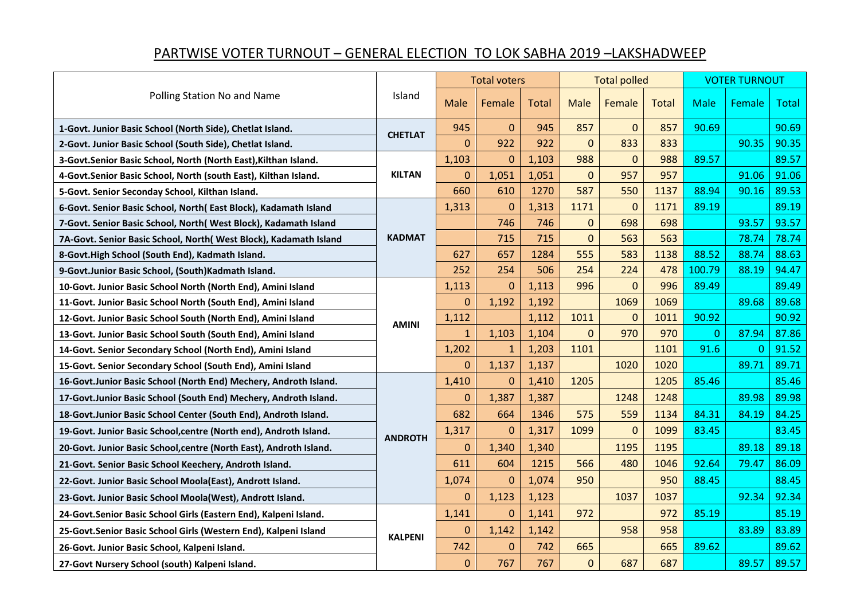## PARTWISE VOTER TURNOUT – GENERAL ELECTION TO LOK SABHA 2019 –LAKSHADWEEP

| Polling Station No and Name                                        | Island         | <b>Total voters</b> |                  |              | <b>Total polled</b> |             |              | <b>VOTER TURNOUT</b> |                |              |
|--------------------------------------------------------------------|----------------|---------------------|------------------|--------------|---------------------|-------------|--------------|----------------------|----------------|--------------|
|                                                                    |                | Male                | Female           | <b>Total</b> | <b>Male</b>         | Female      | <b>Total</b> | <b>Male</b>          | Female         | <b>Total</b> |
| 1-Govt. Junior Basic School (North Side), Chetlat Island.          | <b>CHETLAT</b> | 945                 | $\pmb{0}$        | 945          | 857                 | $\pmb{0}$   | 857          | 90.69                |                | 90.69        |
| 2-Govt. Junior Basic School (South Side), Chetlat Island.          |                | $\overline{0}$      | 922              | 922          | $\overline{0}$      | 833         | 833          |                      | 90.35          | 90.35        |
| 3-Govt.Senior Basic School, North (North East), Kilthan Island.    | <b>KILTAN</b>  | 1,103               | $\mathbf 0$      | 1,103        | 988                 | $\Omega$    | 988          | 89.57                |                | 89.57        |
| 4-Govt.Senior Basic School, North (south East), Kilthan Island.    |                | 0                   | 1,051            | 1,051        | $\mathbf 0$         | 957         | 957          |                      | 91.06          | 91.06        |
| 5-Govt. Senior Seconday School, Kilthan Island.                    |                | 660                 | 610              | 1270         | 587                 | 550         | 1137         | 88.94                | 90.16          | 89.53        |
| 6-Govt. Senior Basic School, North(East Block), Kadamath Island    | <b>KADMAT</b>  | 1,313               | $\mathbf{0}$     | 1,313        | 1171                | $\mathbf 0$ | 1171         | 89.19                |                | 89.19        |
| 7-Govt. Senior Basic School, North(West Block), Kadamath Island    |                |                     | 746              | 746          | $\mathbf 0$         | 698         | 698          |                      | 93.57          | 93.57        |
| 7A-Govt. Senior Basic School, North( West Block), Kadamath Island  |                |                     | 715              | 715          | $\mathbf 0$         | 563         | 563          |                      | 78.74          | 78.74        |
| 8-Govt.High School (South End), Kadmath Island.                    |                | 627                 | 657              | 1284         | 555                 | 583         | 1138         | 88.52                | 88.74          | 88.63        |
| 9-Govt.Junior Basic School, (South)Kadmath Island.                 |                | 252                 | 254              | 506          | 254                 | 224         | 478          | 100.79               | 88.19          | 94.47        |
| 10-Govt. Junior Basic School North (North End), Amini Island       | <b>AMINI</b>   | 1,113               | $\mathbf{0}$     | 1,113        | 996                 | $\mathbf 0$ | 996          | 89.49                |                | 89.49        |
| 11-Govt. Junior Basic School North (South End), Amini Island       |                | 0                   | 1,192            | 1,192        |                     | 1069        | 1069         |                      | 89.68          | 89.68        |
| 12-Govt. Junior Basic School South (North End), Amini Island       |                | 1,112               |                  | 1,112        | 1011                | $\mathbf 0$ | 1011         | 90.92                |                | 90.92        |
| 13-Govt. Junior Basic School South (South End), Amini Island       |                | $\mathbf{1}$        | 1,103            | 1,104        | $\mathbf 0$         | 970         | 970          | 0                    | 87.94          | 87.86        |
| 14-Govt. Senior Secondary School (North End), Amini Island         |                | 1,202               | $\mathbf{1}$     | 1,203        | 1101                |             | 1101         | 91.6                 | $\overline{0}$ | 91.52        |
| 15-Govt. Senior Secondary School (South End), Amini Island         |                | 0                   | 1,137            | 1,137        |                     | 1020        | 1020         |                      | 89.71          | 89.71        |
| 16-Govt.Junior Basic School (North End) Mechery, Androth Island.   |                | 1,410               | $\pmb{0}$        | 1,410        | 1205                |             | 1205         | 85.46                |                | 85.46        |
| 17-Govt.Junior Basic School (South End) Mechery, Androth Island.   | <b>ANDROTH</b> | 0                   | 1,387            | 1,387        |                     | 1248        | 1248         |                      | 89.98          | 89.98        |
| 18-Govt.Junior Basic School Center (South End), Androth Island.    |                | 682                 | 664              | 1346         | 575                 | 559         | 1134         | 84.31                | 84.19          | 84.25        |
| 19-Govt. Junior Basic School, centre (North end), Androth Island.  |                | 1,317               | $\mathbf 0$      | 1,317        | 1099                | $\mathbf 0$ | 1099         | 83.45                |                | 83.45        |
| 20-Govt. Junior Basic School, centre (North East), Androth Island. |                | 0                   | 1,340            | 1,340        |                     | 1195        | 1195         |                      | 89.18          | 89.18        |
| 21-Govt. Senior Basic School Keechery, Androth Island.             |                | 611                 | 604              | 1215         | 566                 | 480         | 1046         | 92.64                | 79.47          | 86.09        |
| 22-Govt. Junior Basic School Moola(East), Andrott Island.          |                | 1,074               | $\boldsymbol{0}$ | 1,074        | 950                 |             | 950          | 88.45                |                | 88.45        |
| 23-Govt. Junior Basic School Moola(West), Andrott Island.          |                | 0                   | 1,123            | 1,123        |                     | 1037        | 1037         |                      | 92.34          | 92.34        |
| 24-Govt.Senior Basic School Girls (Eastern End), Kalpeni Island.   | <b>KALPENI</b> | 1,141               | $\mathbf{0}$     | 1,141        | 972                 |             | 972          | 85.19                |                | 85.19        |
| 25-Govt.Senior Basic School Girls (Western End), Kalpeni Island    |                | 0                   | 1,142            | 1,142        |                     | 958         | 958          |                      | 83.89          | 83.89        |
| 26-Govt. Junior Basic School, Kalpeni Island.                      |                | 742                 | $\mathbf{0}$     | 742          | 665                 |             | 665          | 89.62                |                | 89.62        |
| 27-Govt Nursery School (south) Kalpeni Island.                     |                | 0                   | 767              | 767          | $\mathbf 0$         | 687         | 687          |                      | 89.57          | 89.57        |